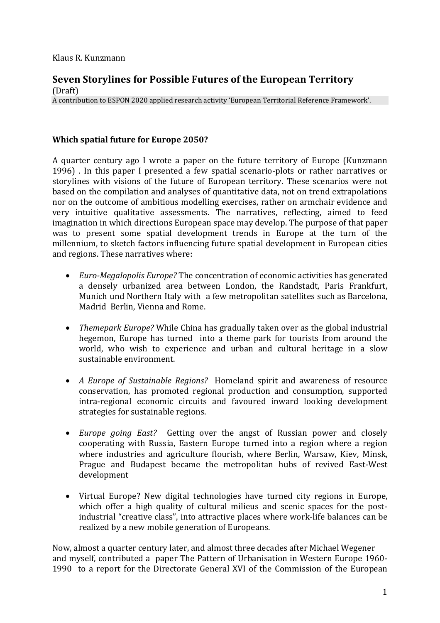## **Seven Storylines for Possible Futures of the European Territory** (Draft)

A contribution to ESPON 2020 applied research activity 'European Territorial Reference Framework'.

# **Which spatial future for Europe 2050?**

A quarter century ago I wrote a paper on the future territory of Europe (Kunzmann 1996) . In this paper I presented a few spatial scenario-plots or rather narratives or storylines with visions of the future of European territory. These scenarios were not based on the compilation and analyses of quantitative data, not on trend extrapolations nor on the outcome of ambitious modelling exercises, rather on armchair evidence and very intuitive qualitative assessments. The narratives, reflecting, aimed to feed imagination in which directions European space may develop. The purpose of that paper was to present some spatial development trends in Europe at the turn of the millennium, to sketch factors influencing future spatial development in European cities and regions. These narratives where:

- *Euro-Megalopolis Europe?* The concentration of economic activities has generated a densely urbanized area between London, the Randstadt, Paris Frankfurt, Munich und Northern Italy with a few metropolitan satellites such as Barcelona, Madrid Berlin, Vienna and Rome.
- *Themepark Europe?* While China has gradually taken over as the global industrial hegemon, Europe has turned into a theme park for tourists from around the world, who wish to experience and urban and cultural heritage in a slow sustainable environment.
- *A Europe of Sustainable Regions?* Homeland spirit and awareness of resource conservation, has promoted regional production and consumption, supported intra-regional economic circuits and favoured inward looking development strategies for sustainable regions.
- *Europe going East?* Getting over the angst of Russian power and closely cooperating with Russia, Eastern Europe turned into a region where a region where industries and agriculture flourish, where Berlin, Warsaw, Kiev, Minsk, Prague and Budapest became the metropolitan hubs of revived East-West development
- Virtual Europe? New digital technologies have turned city regions in Europe, which offer a high quality of cultural milieus and scenic spaces for the postindustrial "creative class", into attractive places where work-life balances can be realized by a new mobile generation of Europeans.

Now, almost a quarter century later, and almost three decades after Michael Wegener and myself, contributed a paper The Pattern of Urbanisation in Western Europe 1960- 1990 to a report for the Directorate General XVI of the Commission of the European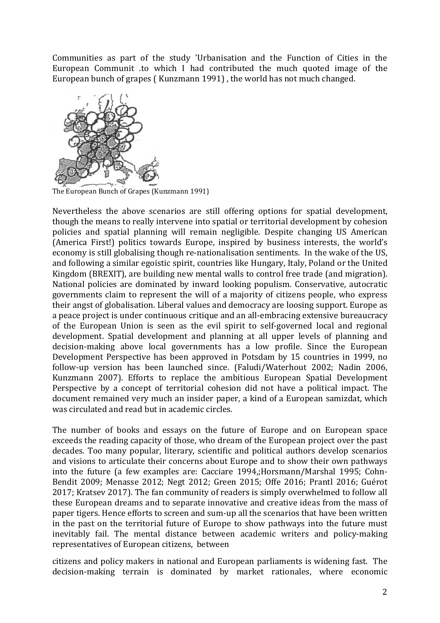Communities as part of the study 'Urbanisation and the Function of Cities in the European Communit .to which I had contributed the much quoted image of the European bunch of grapes ( Kunzmann 1991) , the world has not much changed.



The European Bunch of Grapes (Kunzmann 1991)

Nevertheless the above scenarios are still offering options for spatial development, though the means to really intervene into spatial or territorial development by cohesion policies and spatial planning will remain negligible. Despite changing US American (America First!) politics towards Europe, inspired by business interests, the world's economy is still globalising though re-nationalisation sentiments. In the wake of the US, and following a similar egoistic spirit, countries like Hungary, Italy, Poland or the United Kingdom (BREXIT), are building new mental walls to control free trade (and migration). National policies are dominated by inward looking populism. Conservative, autocratic governments claim to represent the will of a majority of citizens people, who express their angst of globalisation. Liberal values and democracy are loosing support. Europe as a peace project is under continuous critique and an all-embracing extensive bureaucracy of the European Union is seen as the evil spirit to self-governed local and regional development. Spatial development and planning at all upper levels of planning and decision-making above local governments has a low profile. Since the European Development Perspective has been approved in Potsdam by 15 countries in 1999, no follow-up version has been launched since. (Faludi/Waterhout 2002; Nadin 2006, Kunzmann 2007). Efforts to replace the ambitious European Spatial Development Perspective by a concept of territorial cohesion did not have a political impact. The document remained very much an insider paper, a kind of a European samizdat, which was circulated and read but in academic circles.

The number of books and essays on the future of Europe and on European space exceeds the reading capacity of those, who dream of the European project over the past decades. Too many popular, literary, scientific and political authors develop scenarios and visions to articulate their concerns about Europe and to show their own pathways into the future (a few examples are: Cacciare 1994,;Horsmann/Marshal 1995; Cohn-Bendit 2009; Menasse 2012; Negt 2012; Green 2015; Offe 2016; Prantl 2016; Guérot 2017; Kratsev 2017). The fan community of readers is simply overwhelmed to follow all these European dreams and to separate innovative and creative ideas from the mass of paper tigers. Hence efforts to screen and sum-up all the scenarios that have been written in the past on the territorial future of Europe to show pathways into the future must inevitably fail. The mental distance between academic writers and policy-making representatives of European citizens, between

citizens and policy makers in national and European parliaments is widening fast. The decision-making terrain is dominated by market rationales, where economic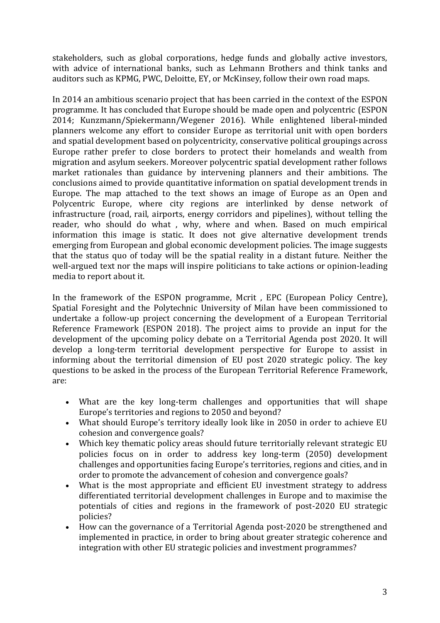stakeholders, such as global corporations, hedge funds and globally active investors, with advice of international banks, such as Lehmann Brothers and think tanks and auditors such as KPMG, PWC, Deloitte, EY, or McKinsey, follow their own road maps.

In 2014 an ambitious scenario project that has been carried in the context of the ESPON programme. It has concluded that Europe should be made open and polycentric (ESPON 2014; Kunzmann/Spiekermann/Wegener 2016). While enlightened liberal-minded planners welcome any effort to consider Europe as territorial unit with open borders and spatial development based on polycentricity, conservative political groupings across Europe rather prefer to close borders to protect their homelands and wealth from migration and asylum seekers. Moreover polycentric spatial development rather follows market rationales than guidance by intervening planners and their ambitions. The conclusions aimed to provide quantitative information on spatial development trends in Europe. The map attached to the text shows an image of Europe as an Open and Polycentric Europe, where city regions are interlinked by dense network of infrastructure (road, rail, airports, energy corridors and pipelines), without telling the reader, who should do what , why, where and when. Based on much empirical information this image is static. It does not give alternative development trends emerging from European and global economic development policies. The image suggests that the status quo of today will be the spatial reality in a distant future. Neither the well-argued text nor the maps will inspire politicians to take actions or opinion-leading media to report about it.

In the framework of the ESPON programme, Mcrit , EPC (European Policy Centre), Spatial Foresight and the Polytechnic University of Milan have been commissioned to undertake a follow-up project concerning the development of a European Territorial Reference Framework (ESPON 2018). The project aims to provide an input for the development of the upcoming policy debate on a Territorial Agenda post 2020. It will develop a long-term territorial development perspective for Europe to assist in informing about the territorial dimension of EU post 2020 strategic policy. The key questions to be asked in the process of the European Territorial Reference Framework, are:

- What are the key long-term challenges and opportunities that will shape Europe's territories and regions to 2050 and beyond?
- What should Europe's territory ideally look like in 2050 in order to achieve EU cohesion and convergence goals?
- Which key thematic policy areas should future territorially relevant strategic EU policies focus on in order to address key long-term (2050) development challenges and opportunities facing Europe's territories, regions and cities, and in order to promote the advancement of cohesion and convergence goals?
- What is the most appropriate and efficient EU investment strategy to address differentiated territorial development challenges in Europe and to maximise the potentials of cities and regions in the framework of post-2020 EU strategic policies?
- How can the governance of a Territorial Agenda post-2020 be strengthened and implemented in practice, in order to bring about greater strategic coherence and integration with other EU strategic policies and investment programmes?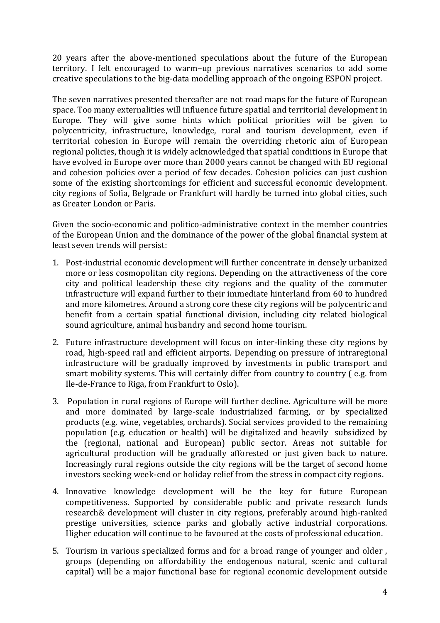20 years after the above-mentioned speculations about the future of the European territory. I felt encouraged to warm–up previous narratives scenarios to add some creative speculations to the big-data modelling approach of the ongoing ESPON project.

The seven narratives presented thereafter are not road maps for the future of European space. Too many externalities will influence future spatial and territorial development in Europe. They will give some hints which political priorities will be given to polycentricity, infrastructure, knowledge, rural and tourism development, even if territorial cohesion in Europe will remain the overriding rhetoric aim of European regional policies, though it is widely acknowledged that spatial conditions in Europe that have evolved in Europe over more than 2000 years cannot be changed with EU regional and cohesion policies over a period of few decades. Cohesion policies can just cushion some of the existing shortcomings for efficient and successful economic development. city regions of Sofia, Belgrade or Frankfurt will hardly be turned into global cities, such as Greater London or Paris.

Given the socio-economic and politico-administrative context in the member countries of the European Union and the dominance of the power of the global financial system at least seven trends will persist:

- 1. Post-industrial economic development will further concentrate in densely urbanized more or less cosmopolitan city regions. Depending on the attractiveness of the core city and political leadership these city regions and the quality of the commuter infrastructure will expand further to their immediate hinterland from 60 to hundred and more kilometres. Around a strong core these city regions will be polycentric and benefit from a certain spatial functional division, including city related biological sound agriculture, animal husbandry and second home tourism.
- 2. Future infrastructure development will focus on inter-linking these city regions by road, high-speed rail and efficient airports. Depending on pressure of intraregional infrastructure will be gradually improved by investments in public transport and smart mobility systems. This will certainly differ from country to country ( e.g. from Ile-de-France to Riga, from Frankfurt to Oslo).
- 3. Population in rural regions of Europe will further decline. Agriculture will be more and more dominated by large-scale industrialized farming, or by specialized products (e.g. wine, vegetables, orchards). Social services provided to the remaining population (e.g. education or health) will be digitalized and heavily subsidized by the (regional, national and European) public sector. Areas not suitable for agricultural production will be gradually afforested or just given back to nature. Increasingly rural regions outside the city regions will be the target of second home investors seeking week-end or holiday relief from the stress in compact city regions.
- 4. Innovative knowledge development will be the key for future European competitiveness. Supported by considerable public and private research funds research& development will cluster in city regions, preferably around high-ranked prestige universities, science parks and globally active industrial corporations. Higher education will continue to be favoured at the costs of professional education.
- 5. Tourism in various specialized forms and for a broad range of younger and older , groups (depending on affordability the endogenous natural, scenic and cultural capital) will be a major functional base for regional economic development outside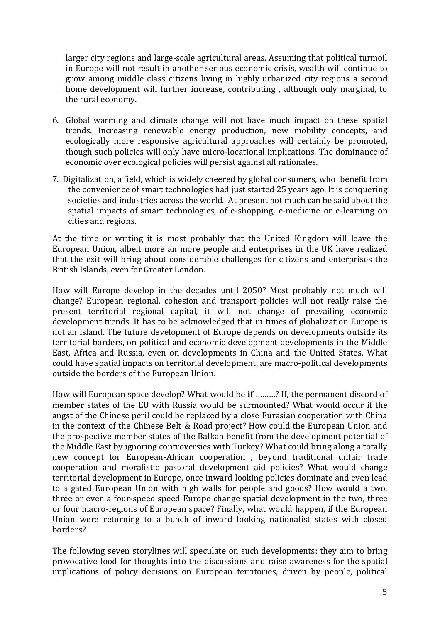larger city regions and large-scale agricultural areas. Assuming that political turmoil in Europe will not result in another serious economic crisis, wealth will continue to grow among middle class citizens living in highly urbanized city regions a second home development will further increase, contributing , although only marginal, to the rural economy.

- 6. Global warming and climate change will not have much impact on these spatial trends. Increasing renewable energy production, new mobility concepts, and ecologically more responsive agricultural approaches will certainly be promoted, though such policies will only have micro-locational implications. The dominance of economic over ecological policies will persist against all rationales.
- 7. Digitalization, a field, which is widely cheered by global consumers, who benefit from the convenience of smart technologies had just started 25 years ago. It is conquering societies and industries across the world. At present not much can be said about the spatial impacts of smart technologies, of e-shopping, e-medicine or e-learning on cities and regions.

At the time or writing it is most probably that the United Kingdom will leave the European Union, albeit more an more people and enterprises in the UK have realized that the exit will bring about considerable challenges for citizens and enterprises the British Islands, even for Greater London.

How will Europe develop in the decades until 2050? Most probably not much will change? European regional, cohesion and transport policies will not really raise the present territorial regional capital, it will not change of prevailing economic development trends. It has to be acknowledged that in times of globalization Europe is not an island. The future development of Europe depends on developments outside its territorial borders, on political and economic development developments in the Middle East, Africa and Russia, even on developments in China and the United States. What could have spatial impacts on territorial development, are macro-political developments outside the borders of the European Union.

How will European space develop? What would be **if** ………? If, the permanent discord of member states of the EU with Russia would be surmounted? What would occur if the angst of the Chinese peril could be replaced by a close Eurasian cooperation with China in the context of the Chinese Belt & Road project? How could the European Union and the prospective member states of the Balkan benefit from the development potential of the Middle East by ignoring controversies with Turkey? What could bring along a totally new concept for European-African cooperation , beyond traditional unfair trade cooperation and moralistic pastoral development aid policies? What would change territorial development in Europe, once inward looking policies dominate and even lead to a gated European Union with high walls for people and goods? How would a two, three or even a four-speed speed Europe change spatial development in the two, three or four macro-regions of European space? Finally, what would happen, if the European Union were returning to a bunch of inward looking nationalist states with closed borders?

The following seven storylines will speculate on such developments: they aim to bring provocative food for thoughts into the discussions and raise awareness for the spatial implications of policy decisions on European territories, driven by people, political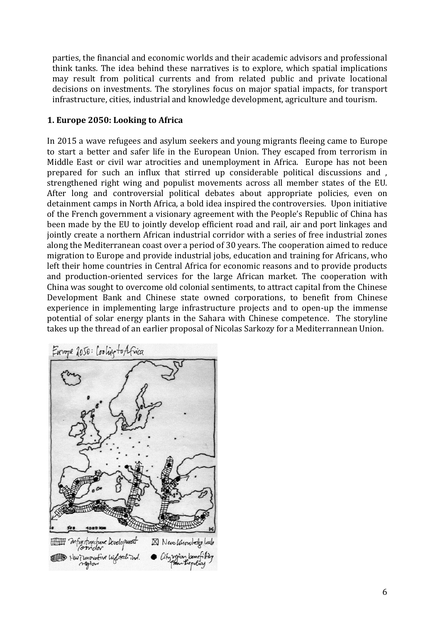parties, the financial and economic worlds and their academic advisors and professional think tanks. The idea behind these narratives is to explore, which spatial implications may result from political currents and from related public and private locational decisions on investments. The storylines focus on major spatial impacts, for transport infrastructure, cities, industrial and knowledge development, agriculture and tourism.

# **1. Europe 2050: Looking to Africa**

In 2015 a wave refugees and asylum seekers and young migrants fleeing came to Europe to start a better and safer life in the European Union. They escaped from terrorism in Middle East or civil war atrocities and unemployment in Africa. Europe has not been prepared for such an influx that stirred up considerable political discussions and , strengthened right wing and populist movements across all member states of the EU. After long and controversial political debates about appropriate policies, even on detainment camps in North Africa, a bold idea inspired the controversies. Upon initiative of the French government a visionary agreement with the People's Republic of China has been made by the EU to jointly develop efficient road and rail, air and port linkages and jointly create a northern African industrial corridor with a series of free industrial zones along the Mediterranean coast over a period of 30 years. The cooperation aimed to reduce migration to Europe and provide industrial jobs, education and training for Africans, who left their home countries in Central Africa for economic reasons and to provide products and production-oriented services for the large African market. The cooperation with China was sought to overcome old colonial sentiments, to attract capital from the Chinese Development Bank and Chinese state owned corporations, to benefit from Chinese experience in implementing large infrastructure projects and to open-up the immense potential of solar energy plants in the Sahara with Chinese competence. The storyline takes up the thread of an earlier proposal of Nicolas Sarkozy for a Mediterrannean Union.

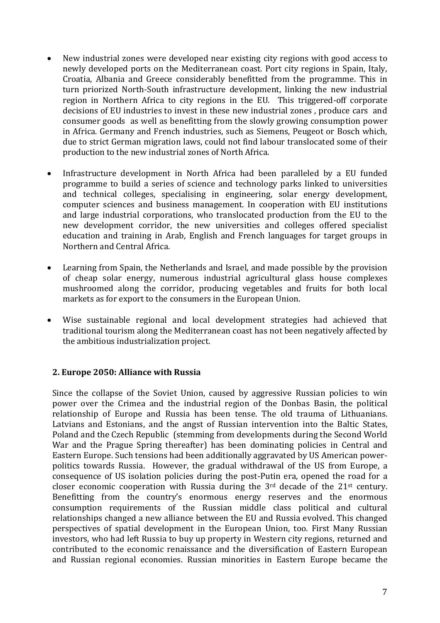- New industrial zones were developed near existing city regions with good access to newly developed ports on the Mediterranean coast. Port city regions in Spain, Italy, Croatia, Albania and Greece considerably benefitted from the programme. This in turn priorized North-South infrastructure development, linking the new industrial region in Northern Africa to city regions in the EU. This triggered-off corporate decisions of EU industries to invest in these new industrial zones , produce cars and consumer goods as well as benefitting from the slowly growing consumption power in Africa. Germany and French industries, such as Siemens, Peugeot or Bosch which, due to strict German migration laws, could not find labour translocated some of their production to the new industrial zones of North Africa.
- Infrastructure development in North Africa had been paralleled by a EU funded programme to build a series of science and technology parks linked to universities and technical colleges, specialising in engineering, solar energy development, computer sciences and business management. In cooperation with EU institutions and large industrial corporations, who translocated production from the EU to the new development corridor, the new universities and colleges offered specialist education and training in Arab, English and French languages for target groups in Northern and Central Africa.
- Learning from Spain, the Netherlands and Israel, and made possible by the provision of cheap solar energy, numerous industrial agricultural glass house complexes mushroomed along the corridor, producing vegetables and fruits for both local markets as for export to the consumers in the European Union.
- Wise sustainable regional and local development strategies had achieved that traditional tourism along the Mediterranean coast has not been negatively affected by the ambitious industrialization project.

## **2. Europe 2050: Alliance with Russia**

Since the collapse of the Soviet Union, caused by aggressive Russian policies to win power over the Crimea and the industrial region of the Donbas Basin, the political relationship of Europe and Russia has been tense. The old trauma of Lithuanians. Latvians and Estonians, and the angst of Russian intervention into the Baltic States, Poland and the Czech Republic (stemming from developments during the Second World War and the Prague Spring thereafter) has been dominating policies in Central and Eastern Europe. Such tensions had been additionally aggravated by US American powerpolitics towards Russia. However, the gradual withdrawal of the US from Europe, a consequence of US isolation policies during the post-Putin era, opened the road for a closer economic cooperation with Russia during the 3rd decade of the 21st century. Benefitting from the country's enormous energy reserves and the enormous consumption requirements of the Russian middle class political and cultural relationships changed a new alliance between the EU and Russia evolved. This changed perspectives of spatial development in the European Union, too. First Many Russian investors, who had left Russia to buy up property in Western city regions, returned and contributed to the economic renaissance and the diversification of Eastern European and Russian regional economies. Russian minorities in Eastern Europe became the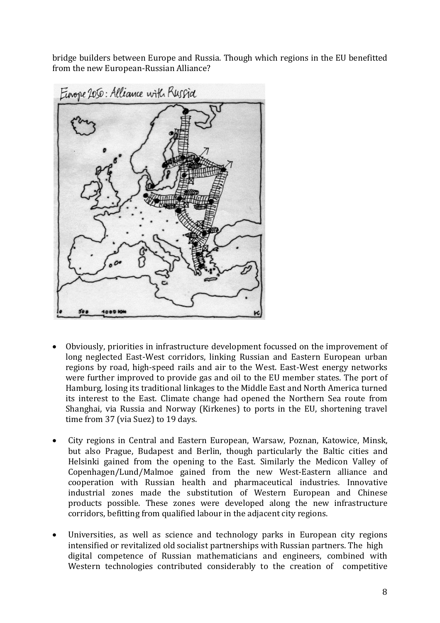bridge builders between Europe and Russia. Though which regions in the EU benefitted from the new European-Russian Alliance?



- Obviously, priorities in infrastructure development focussed on the improvement of long neglected East-West corridors, linking Russian and Eastern European urban regions by road, high-speed rails and air to the West. East-West energy networks were further improved to provide gas and oil to the EU member states. The port of Hamburg, losing its traditional linkages to the Middle East and North America turned its interest to the East. Climate change had opened the Northern Sea route from Shanghai, via Russia and Norway (Kirkenes) to ports in the EU, shortening travel time from 37 (via Suez) to 19 days.
- City regions in Central and Eastern European, Warsaw, Poznan, Katowice, Minsk, but also Prague, Budapest and Berlin, though particularly the Baltic cities and Helsinki gained from the opening to the East. Similarly the Medicon Valley of Copenhagen/Lund/Malmoe gained from the new West-Eastern alliance and cooperation with Russian health and pharmaceutical industries. Innovative industrial zones made the substitution of Western European and Chinese products possible. These zones were developed along the new infrastructure corridors, befitting from qualified labour in the adjacent city regions.
- Universities, as well as science and technology parks in European city regions intensified or revitalized old socialist partnerships with Russian partners. The high digital competence of Russian mathematicians and engineers, combined with Western technologies contributed considerably to the creation of competitive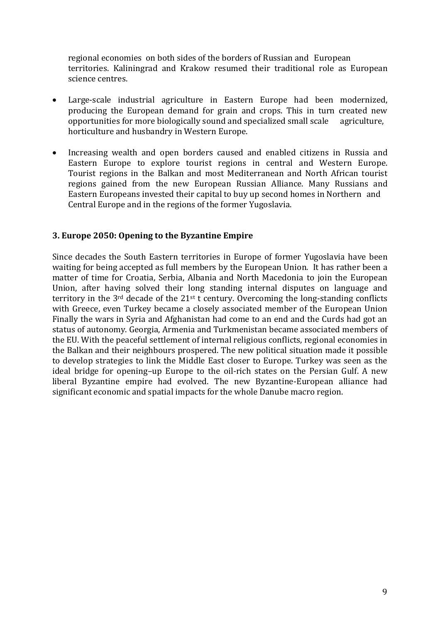regional economies on both sides of the borders of Russian and European territories. Kaliningrad and Krakow resumed their traditional role as European science centres.

- Large-scale industrial agriculture in Eastern Europe had been modernized, producing the European demand for grain and crops. This in turn created new opportunities for more biologically sound and specialized small scale agriculture, horticulture and husbandry in Western Europe.
- Increasing wealth and open borders caused and enabled citizens in Russia and Eastern Europe to explore tourist regions in central and Western Europe. Tourist regions in the Balkan and most Mediterranean and North African tourist regions gained from the new European Russian Alliance. Many Russians and Eastern Europeans invested their capital to buy up second homes in Northern and Central Europe and in the regions of the former Yugoslavia.

## **3. Europe 2050: Opening to the Byzantine Empire**

Since decades the South Eastern territories in Europe of former Yugoslavia have been waiting for being accepted as full members by the European Union. It has rather been a matter of time for Croatia, Serbia, Albania and North Macedonia to join the European Union, after having solved their long standing internal disputes on language and territory in the  $3<sup>rd</sup>$  decade of the  $21<sup>st</sup>$  t century. Overcoming the long-standing conflicts with Greece, even Turkey became a closely associated member of the European Union Finally the wars in Syria and Afghanistan had come to an end and the Curds had got an status of autonomy. Georgia, Armenia and Turkmenistan became associated members of the EU. With the peaceful settlement of internal religious conflicts, regional economies in the Balkan and their neighbours prospered. The new political situation made it possible to develop strategies to link the Middle East closer to Europe. Turkey was seen as the ideal bridge for opening–up Europe to the oil-rich states on the Persian Gulf. A new liberal Byzantine empire had evolved. The new Byzantine-European alliance had significant economic and spatial impacts for the whole Danube macro region.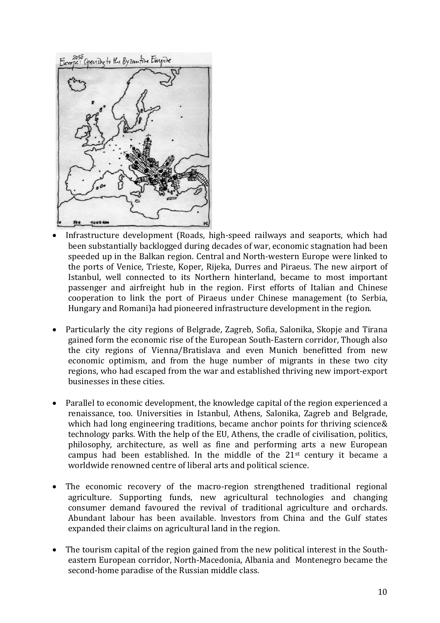

- Infrastructure development (Roads, high-speed railways and seaports, which had been substantially backlogged during decades of war, economic stagnation had been speeded up in the Balkan region. Central and North-western Europe were linked to the ports of Venice, Trieste, Koper, Rijeka, Durres and Piraeus. The new airport of Istanbul, well connected to its Northern hinterland, became to most important passenger and airfreight hub in the region. First efforts of Italian and Chinese cooperation to link the port of Piraeus under Chinese management (to Serbia, Hungary and Romani)a had pioneered infrastructure development in the region.
- Particularly the city regions of Belgrade, Zagreb, Sofia, Salonika, Skopje and Tirana gained form the economic rise of the European South-Eastern corridor, Though also the city regions of Vienna/Bratislava and even Munich benefitted from new economic optimism, and from the huge number of migrants in these two city regions, who had escaped from the war and established thriving new import-export businesses in these cities.
- Parallel to economic development, the knowledge capital of the region experienced a renaissance, too. Universities in Istanbul, Athens, Salonika, Zagreb and Belgrade, which had long engineering traditions, became anchor points for thriving science & technology parks. With the help of the EU, Athens, the cradle of civilisation, politics, philosophy, architecture, as well as fine and performing arts a new European campus had been established. In the middle of the  $21<sup>st</sup>$  century it became a worldwide renowned centre of liberal arts and political science.
- The economic recovery of the macro-region strengthened traditional regional agriculture. Supporting funds, new agricultural technologies and changing consumer demand favoured the revival of traditional agriculture and orchards. Abundant labour has been available. lnvestors from China and the Gulf states expanded their claims on agricultural land in the region.
- The tourism capital of the region gained from the new political interest in the Southeastern European corridor, North-Macedonia, Albania and Montenegro became the second-home paradise of the Russian middle class.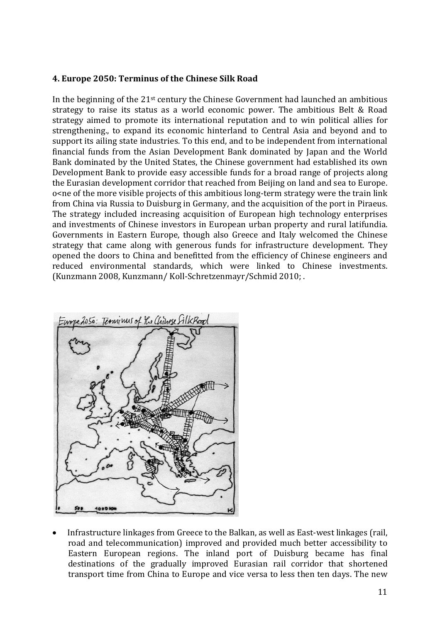## **4. Europe 2050: Terminus of the Chinese Silk Road**

In the beginning of the  $21<sup>st</sup>$  century the Chinese Government had launched an ambitious strategy to raise its status as a world economic power. The ambitious Belt & Road strategy aimed to promote its international reputation and to win political allies for strengthening., to expand its economic hinterland to Central Asia and beyond and to support its ailing state industries. To this end, and to be independent from international financial funds from the Asian Development Bank dominated by Japan and the World Bank dominated by the United States, the Chinese government had established its own Development Bank to provide easy accessible funds for a broad range of projects along the Eurasian development corridor that reached from Beijing on land and sea to Europe. o<ne of the more visible projects of this ambitious long-term strategy were the train link from China via Russia to Duisburg in Germany, and the acquisition of the port in Piraeus. The strategy included increasing acquisition of European high technology enterprises and investments of Chinese investors in European urban property and rural latifundia. Governments in Eastern Europe, though also Greece and Italy welcomed the Chinese strategy that came along with generous funds for infrastructure development. They opened the doors to China and benefitted from the efficiency of Chinese engineers and reduced environmental standards, which were linked to Chinese investments. (Kunzmann 2008, Kunzmann/ Koll-Schretzenmayr/Schmid 2010; .



 Infrastructure linkages from Greece to the Balkan, as well as East-west linkages (rail, road and telecommunication) improved and provided much better accessibility to Eastern European regions. The inland port of Duisburg became has final destinations of the gradually improved Eurasian rail corridor that shortened transport time from China to Europe and vice versa to less then ten days. The new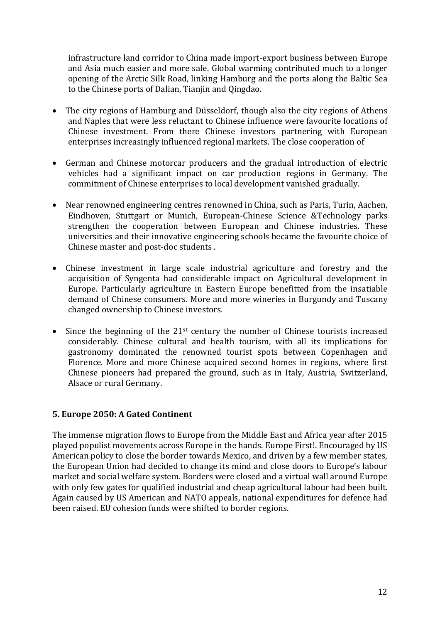infrastructure land corridor to China made import-export business between Europe and Asia much easier and more safe. Global warming contributed much to a longer opening of the Arctic Silk Road, linking Hamburg and the ports along the Baltic Sea to the Chinese ports of Dalian, Tianjin and Qingdao.

- The city regions of Hamburg and Düsseldorf, though also the city regions of Athens and Naples that were less reluctant to Chinese influence were favourite locations of Chinese investment. From there Chinese investors partnering with European enterprises increasingly influenced regional markets. The close cooperation of
- German and Chinese motorcar producers and the gradual introduction of electric vehicles had a significant impact on car production regions in Germany. The commitment of Chinese enterprises to local development vanished gradually.
- Near renowned engineering centres renowned in China, such as Paris, Turin, Aachen, Eindhoven, Stuttgart or Munich, European-Chinese Science &Technology parks strengthen the cooperation between European and Chinese industries. These universities and their innovative engineering schools became the favourite choice of Chinese master and post-doc students .
- Chinese investment in large scale industrial agriculture and forestry and the acquisition of Syngenta had considerable impact on Agricultural development in Europe. Particularly agriculture in Eastern Europe benefitted from the insatiable demand of Chinese consumers. More and more wineries in Burgundy and Tuscany changed ownership to Chinese investors.
- Since the beginning of the 21<sup>st</sup> century the number of Chinese tourists increased considerably. Chinese cultural and health tourism, with all its implications for gastronomy dominated the renowned tourist spots between Copenhagen and Florence. More and more Chinese acquired second homes in regions, where first Chinese pioneers had prepared the ground, such as in Italy, Austria, Switzerland, Alsace or rural Germany.

## **5. Europe 2050: A Gated Continent**

The immense migration flows to Europe from the Middle East and Africa year after 2015 played populist movements across Europe in the hands. Europe First!. Encouraged by US American policy to close the border towards Mexico, and driven by a few member states, the European Union had decided to change its mind and close doors to Europe's labour market and social welfare system. Borders were closed and a virtual wall around Europe with only few gates for qualified industrial and cheap agricultural labour had been built. Again caused by US American and NATO appeals, national expenditures for defence had been raised. EU cohesion funds were shifted to border regions.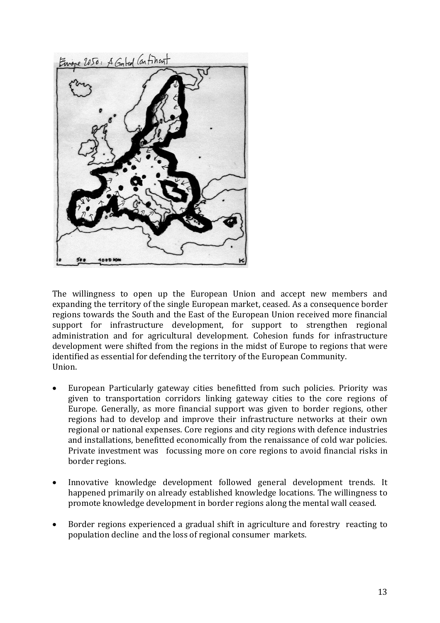

The willingness to open up the European Union and accept new members and expanding the territory of the single European market, ceased. As a consequence border regions towards the South and the East of the European Union received more financial support for infrastructure development, for support to strengthen regional administration and for agricultural development. Cohesion funds for infrastructure development were shifted from the regions in the midst of Europe to regions that were identified as essential for defending the territory of the European Community. Union.

- European Particularly gateway cities benefitted from such policies. Priority was given to transportation corridors linking gateway cities to the core regions of Europe. Generally, as more financial support was given to border regions, other regions had to develop and improve their infrastructure networks at their own regional or national expenses. Core regions and city regions with defence industries and installations, benefitted economically from the renaissance of cold war policies. Private investment was focussing more on core regions to avoid financial risks in border regions.
- Innovative knowledge development followed general development trends. It happened primarily on already established knowledge locations. The willingness to promote knowledge development in border regions along the mental wall ceased.
- Border regions experienced a gradual shift in agriculture and forestry reacting to population decline and the loss of regional consumer markets.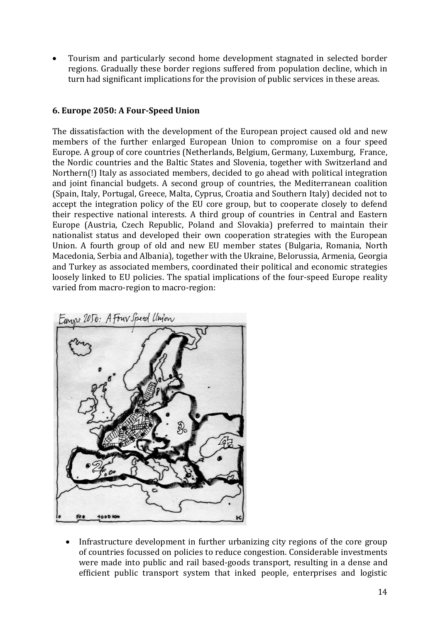Tourism and particularly second home development stagnated in selected border regions. Gradually these border regions suffered from population decline, which in turn had significant implications for the provision of public services in these areas.

# **6. Europe 2050: A Four-Speed Union**

The dissatisfaction with the development of the European project caused old and new members of the further enlarged European Union to compromise on a four speed Europe. A group of core countries (Netherlands, Belgium, Germany, Luxemburg, France, the Nordic countries and the Baltic States and Slovenia, together with Switzerland and Northern(!) Italy as associated members, decided to go ahead with political integration and joint financial budgets. A second group of countries, the Mediterranean coalition (Spain, Italy, Portugal, Greece, Malta, Cyprus, Croatia and Southern Italy) decided not to accept the integration policy of the EU core group, but to cooperate closely to defend their respective national interests. A third group of countries in Central and Eastern Europe (Austria, Czech Republic, Poland and Slovakia) preferred to maintain their nationalist status and developed their own cooperation strategies with the European Union. A fourth group of old and new EU member states (Bulgaria, Romania, North Macedonia, Serbia and Albania), together with the Ukraine, Belorussia, Armenia, Georgia and Turkey as associated members, coordinated their political and economic strategies loosely linked to EU policies. The spatial implications of the four-speed Europe reality varied from macro-region to macro-region:



 Infrastructure development in further urbanizing city regions of the core group of countries focussed on policies to reduce congestion. Considerable investments were made into public and rail based-goods transport, resulting in a dense and efficient public transport system that inked people, enterprises and logistic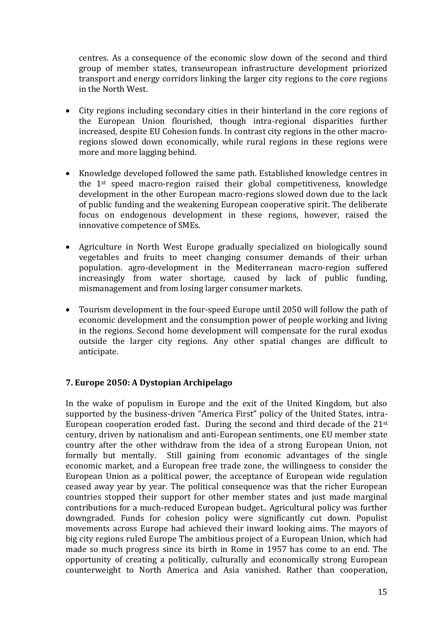centres. As a consequence of the economic slow down of the second and third group of member states, transeuropean infrastructure development priorized transport and energy corridors linking the larger city regions to the core regions in the North West.

- City regions including secondary cities in their hinterland in the core regions of the European Union flourished, though intra-regional disparities further increased, despite EU Cohesion funds. In contrast city regions in the other macroregions slowed down economically, while rural regions in these regions were more and more lagging behind.
- Knowledge developed followed the same path. Established knowledge centres in the 1st speed macro-region raised their global competitiveness, knowledge development in the other European macro-regions slowed down due to the lack of public funding and the weakening European cooperative spirit. The deliberate focus on endogenous development in these regions, however, raised the innovative competence of SMEs.
- Agriculture in North West Europe gradually specialized on biologically sound vegetables and fruits to meet changing consumer demands of their urban population. agro-development in the Mediterranean macro-region suffered increasingly from water shortage, caused by lack of public funding, mismanagement and from losing larger consumer markets.
- Tourism development in the four-speed Europe until 2050 will follow the path of economic development and the consumption power of people working and living in the regions. Second home development will compensate for the rural exodus outside the larger city regions. Any other spatial changes are difficult to anticipate.

## **7. Europe 2050: A Dystopian Archipelago**

In the wake of populism in Europe and the exit of the United Kingdom, but also supported by the business-driven "America First" policy of the United States, intra-European cooperation eroded fast. During the second and third decade of the 21st century, driven by nationalism and anti-European sentiments, one EU member state country after the other withdraw from the idea of a strong European Union, not formally but mentally. Still gaining from economic advantages of the single economic market, and a European free trade zone, the willingness to consider the European Union as a political power, the acceptance of European wide regulation ceased away year by year. The political consequence was that the richer European countries stopped their support for other member states and just made marginal contributions for a much-reduced European budget.. Agricultural policy was further downgraded. Funds for cohesion policy were significantly cut down. Populist movements across Europe had achieved their inward looking aims. The mayors of big city regions ruled Europe The ambitious project of a European Union, which had made so much progress since its birth in Rome in 1957 has come to an end. The opportunity of creating a politically, culturally and economically strong European counterweight to North America and Asia vanished. Rather than cooperation,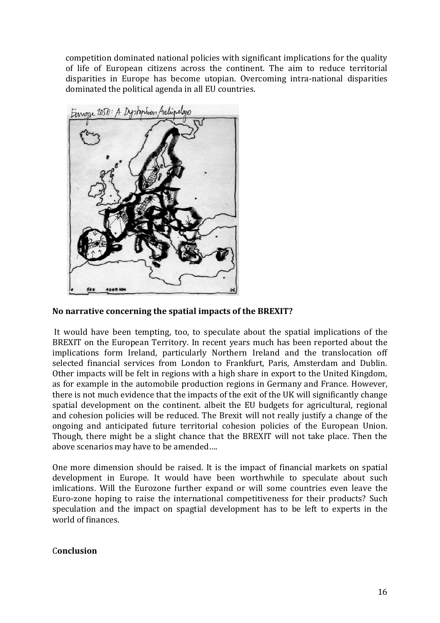competition dominated national policies with significant implications for the quality of life of European citizens across the continent. The aim to reduce territorial disparities in Europe has become utopian. Overcoming intra-national disparities dominated the political agenda in all EU countries.



#### **No narrative concerning the spatial impacts of the BREXIT?**

It would have been tempting, too, to speculate about the spatial implications of the BREXIT on the European Territory. In recent years much has been reported about the implications form Ireland, particularly Northern Ireland and the translocation off selected financial services from London to Frankfurt, Paris, Amsterdam and Dublin. Other impacts will be felt in regions with a high share in export to the United Kingdom, as for example in the automobile production regions in Germany and France. However, there is not much evidence that the impacts of the exit of the UK will significantly change spatial development on the continent. albeit the EU budgets for agricultural, regional and cohesion policies will be reduced. The Brexit will not really justify a change of the ongoing and anticipated future territorial cohesion policies of the European Union. Though, there might be a slight chance that the BREXIT will not take place. Then the above scenarios may have to be amended….

One more dimension should be raised. It is the impact of financial markets on spatial development in Europe. It would have been worthwhile to speculate about such imlications. Will the Eurozone further expand or will some countries even leave the Euro-zone hoping to raise the international competitiveness for their products? Such speculation and the impact on spagtial development has to be left to experts in the world of finances.

#### C**onclusion**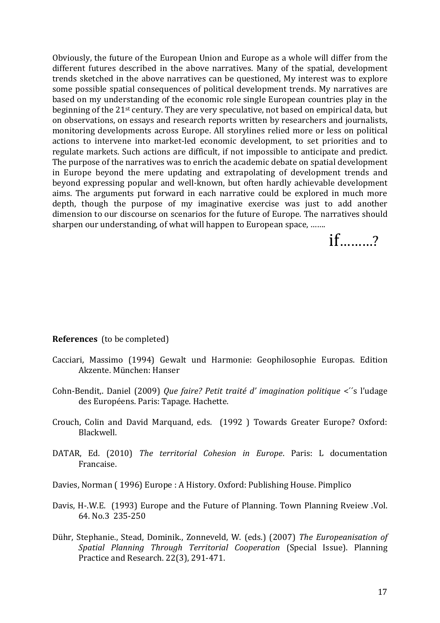Obviously, the future of the European Union and Europe as a whole will differ from the different futures described in the above narratives. Many of the spatial, development trends sketched in the above narratives can be questioned, My interest was to explore some possible spatial consequences of political development trends. My narratives are based on my understanding of the economic role single European countries play in the beginning of the 21st century. They are very speculative, not based on empirical data, but on observations, on essays and research reports written by researchers and journalists, monitoring developments across Europe. All storylines relied more or less on political actions to intervene into market-led economic development, to set priorities and to regulate markets. Such actions are difficult, if not impossible to anticipate and predict. The purpose of the narratives was to enrich the academic debate on spatial development in Europe beyond the mere updating and extrapolating of development trends and beyond expressing popular and well-known, but often hardly achievable development aims. The arguments put forward in each narrative could be explored in much more depth, though the purpose of my imaginative exercise was just to add another dimension to our discourse on scenarios for the future of Europe. The narratives should sharpen our understanding, of what will happen to European space, …….

if………?

#### **References** (to be completed)

- Cacciari, Massimo (1994) Gewalt und Harmonie: Geophilosophie Europas. Edition Akzente. München: Hanser
- Cohn-Bendit,. Daniel (2009) *Que faire? Petit traité d' imagination politique* <´´s l'udage des Européens. Paris: Tapage. Hachette.
- Crouch, Colin and David Marquand, eds. (1992 ) Towards Greater Europe? Oxford: Blackwell.
- DATAR, Ed. (2010) *The territorial Cohesion in Europe*. Paris: L documentation Francaise.
- Davies, Norman ( 1996) Europe : A History. Oxford: Publishing House. Pimplico
- Davis, H-.W.E. (1993) Europe and the Future of Planning. Town Planning Rveiew .Vol. 64. No.3 235-250
- Dü hr, Stephanie., Stead, Dominik., Zonneveld, W. (eds.) (2007) *The Europeanisation of Spatial Planning Through Territorial Cooperation* (Special Issue). Planning Practice and Research. 22(3), 291-471.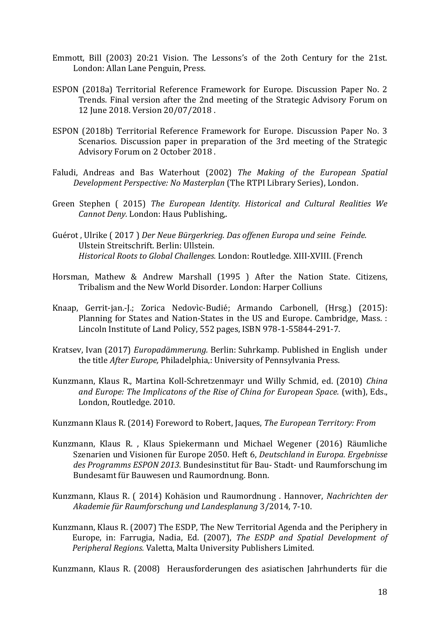- Emmott, Bill (2003) 20:21 Vision. The Lessons's of the 2oth Century for the 21st. London: Allan Lane Penguin, Press.
- ESPON (2018a) Territorial Reference Framework for Europe. Discussion Paper No. 2 Trends. Final version after the 2nd meeting of the Strategic Advisory Forum on 12 June 2018. Version 20/07/2018 .
- ESPON (2018b) Territorial Reference Framework for Europe. Discussion Paper No. 3 Scenarios. Discussion paper in preparation of the 3rd meeting of the Strategic Advisory Forum on 2 October 2018 .
- Faludi, Andreas and Bas Waterhout (2002) *The Making of the European Spatial Development Perspective: No Masterplan* (The RTPI Library Series), London.
- Green Stephen ( 2015) *The European Identity. Historical and Cultural Realities We Cannot Deny.* London: Haus Publishing,.
- Guérot , Ulrike ( 2017 ) *Der Neue Bürgerkrieg. Das offenen Europa und seine Feinde.*  Ulstein Streitschrift. Berlin: Ullstein. *Historical Roots to Global Challenges.* London: Routledge. XIII-XVIII. (French
- Horsman, Mathew & Andrew Marshall (1995 ) After the Nation State. Citizens, Tribalism and the New World Disorder. London: Harper Colliuns
- Knaap, Gerrit-jan.-J.; Zorica Nedovìc-Budié; Armando Carbonell, (Hrsg.) (2015): Planning for States and Nation-States in the US and Europe. Cambridge, Mass. : Lincoln Institute of Land Policy, 552 pages, ISBN 978-1-55844-291-7.
- Kratsev, Ivan (2017) *Europadämmerung.* Berlin: Suhrkamp. Published in English under the title *After Europe,* Philadelphia,: University of Pennsylvania Press.
- Kunzmann, Klaus R., Martina Koll-Schretzenmayr und Willy Schmid, ed. (2010) *China and Europe: The Implicatons of the Rise of China for European Space.* (with), Eds., London, Routledge. 2010.
- Kunzmann Klaus R. (2014) Foreword to Robert, Jaques, *The European Territory: From*
- Kunzmann, Klaus R. , Klaus Spiekermann und Michael Wegener (2016) Räumliche Szenarien und Visionen für Europe 2050. Heft 6, *Deutschland in Europa. Ergebnisse des Programms ESPON 2013.* Bundesinstitut für Bau- Stadt- und Raumforschung im Bundesamt für Bauwesen und Raumordnung. Bonn.
- Kunzmann, Klaus R. ( 2014) Kohäsion und Raumordnung . Hannover, *Nachrichten der Akademie für Raumforschung und Landesplanung* 3/2014, 7-10.
- Kunzmann, Klaus R. (2007) The ESDP, The New Territorial Agenda and the Periphery in Europe, in: Farrugia, Nadia, Ed. (2007), *The ESDP and Spatial Development of Peripheral Regions.* Valetta, Malta University Publishers Limited*.*

Kunzmann, Klaus R. (2008) Herausforderungen des asiatischen Jahrhunderts für die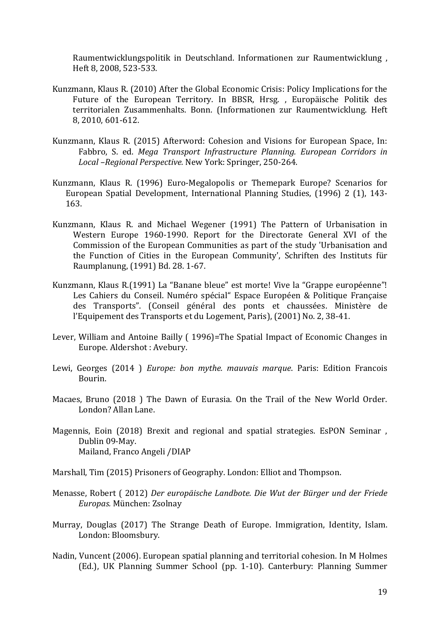Raumentwicklungspolitik in Deutschland. Informationen zur Raumentwicklung , Heft 8, 2008, 523-533.

- Kunzmann, Klaus R. (2010) After the Global Economic Crisis: Policy Implications for the Future of the European Territory. In BBSR, Hrsg. , Europäische Politik des territorialen Zusammenhalts. Bonn. (Informationen zur Raumentwicklung. Heft 8, 2010, 601-612.
- Kunzmann, Klaus R. (2015) Afterword: Cohesion and Visions for European Space, In: Fabbro, S. ed. *Mega Transport Infrastructure Planning. European Corridors in Local –Regional Perspective.* New York: Springer, 250-264.
- Kunzmann, Klaus R. (1996) Euro-Megalopolis or Themepark Europe? Scenarios for European Spatial Development, International Planning Studies, (1996) 2 (1), 143- 163.
- Kunzmann, Klaus R. and Michael Wegener (1991) The Pattern of Urbanisation in Western Europe 1960-1990. Report for the Directorate General XVI of the Commission of the European Communities as part of the study 'Urbanisation and the Function of Cities in the European Community', Schriften des Instituts für Raumplanung, (1991) Bd. 28. 1-67.
- Kunzmann, Klaus R.(1991) La "Banane bleue" est morte! Vive la "Grappe européenne"! Les Cahiers du Conseil. Numéro spécial" Espace Européen & Politique Française des Transports". (Conseil général des ponts et chaussées. Ministère de l'Equipement des Transports et du Logement, Paris), (2001) No. 2, 38-41.
- Lever, William and Antoine Bailly ( 1996)=The Spatial Impact of Economic Changes in Europe. Aldershot : Avebury.
- Lewi, Georges (2014 ) *Europe: bon mythe. mauvais marque*. Paris: Edition Francois Bourin.
- Macaes, Bruno (2018 ) The Dawn of Eurasia. On the Trail of the New World Order. London? Allan Lane.
- Magennis, Eoin (2018) Brexit and regional and spatial strategies. EsPON Seminar , Dublin 09-May. Mailand, Franco Angeli /DIAP
- Marshall, Tim (2015) Prisoners of Geography. London: Elliot and Thompson.
- Menasse, Robert ( 2012) *Der europäische Landbote. Die Wut der Bürger und der Friede Europas.* München: Zsolnay
- Murray, Douglas (2017) The Strange Death of Europe. Immigration, Identity, Islam. London: Bloomsbury.
- Nadin, Vuncent (2006). European spatial planning and territorial cohesion. In M Holmes (Ed.), UK Planning Summer School (pp. 1-10). Canterbury: Planning Summer